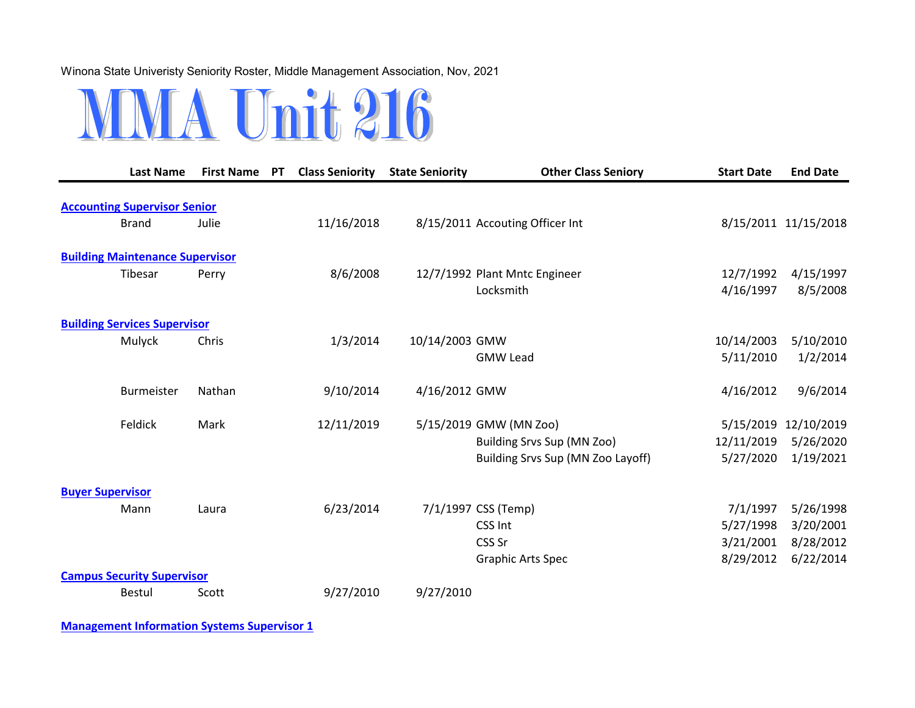## Winona State Univeristy Seniority Roster, Middle Management Association, Nov, 2021



|                         | <b>Last Name</b>                       | <b>First Name PT</b> | <b>Class Seniority</b> | <b>State Seniority</b> | <b>Other Class Seniory</b>        | <b>Start Date</b> | <b>End Date</b>      |
|-------------------------|----------------------------------------|----------------------|------------------------|------------------------|-----------------------------------|-------------------|----------------------|
|                         |                                        |                      |                        |                        |                                   |                   |                      |
|                         | <b>Accounting Supervisor Senior</b>    |                      |                        |                        |                                   |                   |                      |
|                         | <b>Brand</b>                           | Julie                | 11/16/2018             |                        | 8/15/2011 Accouting Officer Int   |                   | 8/15/2011 11/15/2018 |
|                         | <b>Building Maintenance Supervisor</b> |                      |                        |                        |                                   |                   |                      |
|                         | Tibesar                                | Perry                | 8/6/2008               |                        | 12/7/1992 Plant Mntc Engineer     | 12/7/1992         | 4/15/1997            |
|                         |                                        |                      |                        |                        | Locksmith                         | 4/16/1997         | 8/5/2008             |
|                         | <b>Building Services Supervisor</b>    |                      |                        |                        |                                   |                   |                      |
|                         | Mulyck                                 | Chris                | 1/3/2014               | 10/14/2003 GMW         |                                   | 10/14/2003        | 5/10/2010            |
|                         |                                        |                      |                        |                        | <b>GMW Lead</b>                   | 5/11/2010         | 1/2/2014             |
|                         |                                        |                      |                        |                        |                                   |                   |                      |
|                         | <b>Burmeister</b>                      | Nathan               | 9/10/2014              | 4/16/2012 GMW          |                                   | 4/16/2012         | 9/6/2014             |
|                         |                                        |                      |                        |                        |                                   |                   |                      |
|                         | Feldick                                | Mark                 | 12/11/2019             |                        | 5/15/2019 GMW (MN Zoo)            | 5/15/2019         | 12/10/2019           |
|                         |                                        |                      |                        |                        | Building Srvs Sup (MN Zoo)        | 12/11/2019        | 5/26/2020            |
|                         |                                        |                      |                        |                        | Building Srvs Sup (MN Zoo Layoff) | 5/27/2020         | 1/19/2021            |
| <b>Buyer Supervisor</b> |                                        |                      |                        |                        |                                   |                   |                      |
|                         | Mann                                   | Laura                | 6/23/2014              |                        | 7/1/1997 CSS (Temp)               | 7/1/1997          | 5/26/1998            |
|                         |                                        |                      |                        |                        | CSS Int                           | 5/27/1998         | 3/20/2001            |
|                         |                                        |                      |                        |                        | CSS Sr                            | 3/21/2001         | 8/28/2012            |
|                         |                                        |                      |                        |                        | <b>Graphic Arts Spec</b>          | 8/29/2012         | 6/22/2014            |
|                         | <b>Campus Security Supervisor</b>      |                      |                        |                        |                                   |                   |                      |
|                         | <b>Bestul</b>                          | Scott                | 9/27/2010              | 9/27/2010              |                                   |                   |                      |

**Management Information Systems Supervisor 1**